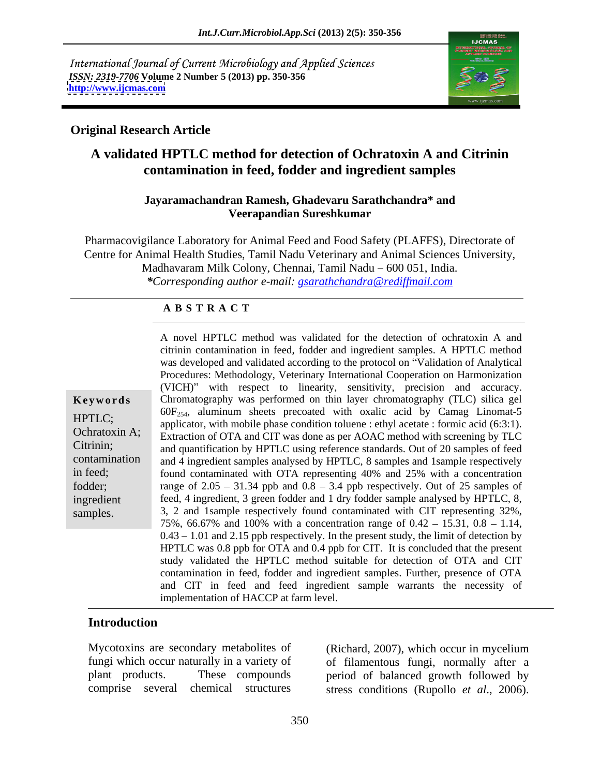International Journal of Current Microbiology and Applied Sciences *ISSN: 2319-7706* **Volume 2 Number 5 (2013) pp. 350-356 <http://www.ijcmas.com>**



## **Original Research Article**

# **A validated HPTLC method for detection of Ochratoxin A and Citrinin contamination in feed, fodder and ingredient samples**

### **Jayaramachandran Ramesh, Ghadevaru Sarathchandra\* and Veerapandian Sureshkumar**

Pharmacovigilance Laboratory for Animal Feed and Food Safety (PLAFFS), Directorate of Centre for Animal Health Studies, Tamil Nadu Veterinary and Animal Sciences University, Madhavaram Milk Colony, Chennai, Tamil Nadu – 600 051, India. *\*Corresponding author e-mail: gsarathchandra@rediffmail.com*

### **A B S T R A C T**

Citrinin; and quantification by HPTLC using reference standards. Out of 20 samples of feed **Keywords** Chromatography was performed on thin layer chromatography (TLC) silica gel HPTLC; applicator, with mobile phase condition toluene : ethyl acetate : formic acid (6:3:1). Ochratoxin A; Extraction of OTA and CIT was done as per AOAC method with screening by TLC contamination and 4 ingredient samples analysed by HPTLC, 8 samples and 1sample respectively in feed; found contaminated with OTA representing 40% and 25% with a concentration fodder; range of  $2.05 - 31.34$  ppb and  $0.8 - 3.4$  ppb respectively. Out of 25 samples of ingredient feed, 4 ingredient, 3 green fodder and 1 dry fodder sample analysed by HPTLC, 8, A novel HPTLC method was validated for the detection of ochratoxin A and<br>
citrinin containmination in feed, fodder and ingredient samples. A HPTLC method<br>
was developed and validated according to the protocol on "Validati citrinin contamination in feed, fodder and ingredient samples. A HPTLC method was developed and validated according to the protocol on "Validation of Analytical Procedures: Methodology, Veterinary International Cooperation on Harmonization (VICH)" with respect to linearity, sensitivity, precision and accuracy.  $60F_{254}$ , aluminum sheets precoated with oxalic acid by Camag Linomat-5 3, 2 and 1sample respectively found contaminated with CIT representing 32%, 75%, 66.67% and 100% with a concentration range of  $0.42 - 15.31$ ,  $0.8 - 1.14$ ,  $0.43 - 1.01$  and 2.15 ppb respectively. In the present study, the limit of detection by HPTLC was 0.8 ppb for OTA and 0.4 ppb for CIT. It is concluded that the present study validated the HPTLC method suitable for detection of OTA and CIT contamination in feed, fodder and ingredient samples. Further, presence of OTA and CIT in feed and feed ingredient sample warrants the necessity of implementation of HACCP at farm level.

### **Introduction**

Mycotoxins are secondary metabolites of (Richard, 2007), which occur in mycelium fungi which occur naturally in a variety of of filamentous fungi, normally after a plant products. These compounds period of balanced growth followed by

comprise several chemical structures stress conditions (Rupollo *et al*., 2006). (Richard, 2007), which occur in mycelium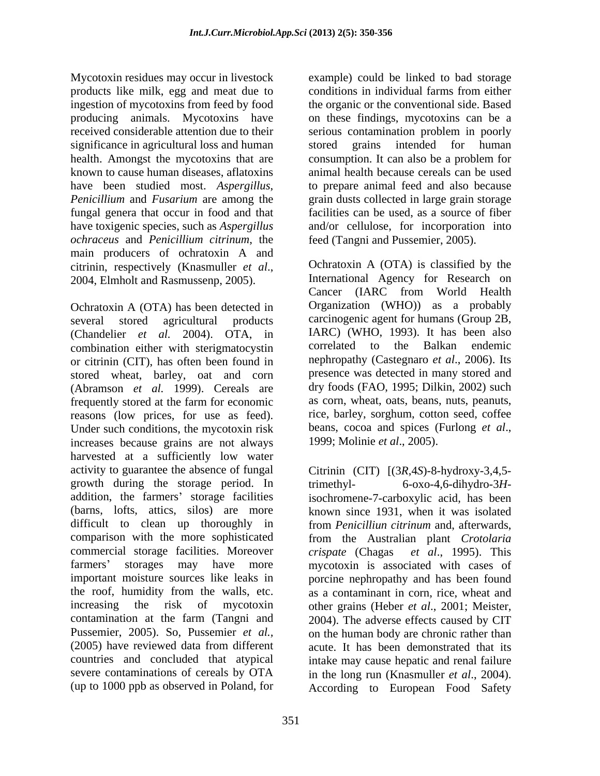Mycotoxin residues may occur in livestock products like milk, egg and meat due to ingestion of mycotoxins from feed by food received considerable attention due to their serious contamination problem in poorly significance in agricultural loss and human stored grains intended for human health. Amongst the mycotoxins that are consumption. It can also be a problem for fungal genera that occur in food and that *ochraceus* and *Penicillium citrinum*, the main producers of ochratoxin A and

several stored agricultural products carcinogenic agent for humans (Group 2B, (Chandelier *et al.* 2004). OTA, in IARC) (WHO, 1993). It has been also combination either with steriomatocystin correlated to the Balkan endemic combination either with sterigmatocystin or citrinin (CIT), has often been found in stored wheat, barley, oat and corn (Abramson *et al.* 1999). Cereals are frequently stored at the farm for economic reasons (low prices, for use as feed). Under such conditions, the mycotoxin risk increases because grains are not always harvested at a sufficiently low water activity to guarantee the absence of fungal Citrinin (CIT) [(3*R*,4*S*)-8-hydroxy-3,4,5 growth during the storage period. In addition, the farmers' storage facilities (barns, lofts, attics, silos) are more known since 1931, when it was isolated difficult to clean up thoroughly in from *Penicilliun citrinum* and, afterwards, comparison with the more sophisticated from the Australian plant *Crotolaria*  commercial storage facilities. Moreover crispate (Chagas farmers' storages may have more mycotoxin is associated with cases of important moisture sources like leaks in porcine nephropathy and has been found the roof, humidity from the walls, etc. as a contaminant in corn, rice, wheat and increasing the risk of mycotoxin other grains (Heber *et al*., 2001; Meister, contamination at the farm (Tangni and 2004). The adverse effects caused by CIT Pussemier, 2005). So, Pussemier *et al.*, on the human body are chronic rather than (2005) have reviewed data from different acute. It has been demonstrated that its countries and concluded that atypical intake may cause hepatic and renal failure severe contaminations of cereals by OTA in the long run (Knasmuller *et al*., 2004).

producing animals. Mycotoxins have on these findings, mycotoxins can be a known to cause human diseases, aflatoxins animal health because cereals can be used have been studied most. *Aspergillus*, to prepare animal feed and also because *Penicillium* and *Fusarium* are among the grain dusts collected in large grain storage have toxigenic species, such as *Aspergillus*  and/or cellulose, for incorporation into example) could be linked to bad storage conditions in individual farms from either the organic or the conventional side. Based serious contamination problem in poorly stored grains intended for human consumption. It can also be a problem for facilities can be used, as a source of fiber feed (Tangni and Pussemier, 2005).

citrinin, respectively (Knasmuller *et al.*, Cochratoxin A (OTA) is classified by the<br>2004, Elmholt and Rasmussenp, 2005). International Agency for Research on<br>Cancer (IARC from World Health<br>Ochratoxin A (OTA) has been det Ochratoxin A (OTA) is classified by the International Agency for Research on Cancer (IARC from World Health Organization (WHO)) as a probably IARC) (WHO, 1993). It has been also correlated to the Balkan nephropathy (Castegnaro *et al*., 2006). Its presence was detected in many stored and dry foods (FAO, 1995; Dilkin, 2002) such as corn, wheat, oats, beans, nuts, peanuts, rice, barley, sorghum, cotton seed, coffee beans, cocoa and spices (Furlong *et al*., 1999; Molinie *et al*., 2005).

(up to 1000 ppb as observed in Poland, for According to European Food Safety $6$ -oxo-4,6-dihydro-3Hisochromene-7-carboxylic acid, has been *et al.*, 1995). This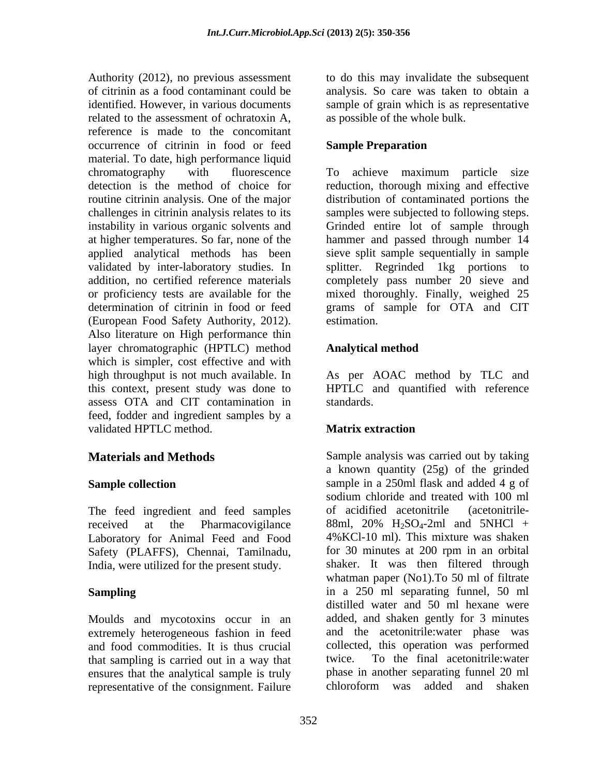Authority (2012), no previous assessment to do this may invalidate the subsequent of citrinin as a food contaminant could be analysis. So care was taken to obtain a identified. However, in various documents sample of grain which is as representative related to the assessment of ochratoxin A, reference is made to the concomitant occurrence of citrinin in food or feed Sample Preparation material. To date, high performance liquid chromatography with fluorescence To achieve maximum particle size detection is the method of choice for reduction, thorough mixing and effective routine citrinin analysis. One of the major distribution of contaminated portions the challenges in citrinin analysis relates to its instability in various organic solvents and Grinded entire lot of sample through at higher temperatures. So far, none of the hammer and passed through number 14 applied analytical methods has been sieve split sample sequentially in sample validated by inter-laboratory studies. In addition, no certified reference materials completely pass number 20 sieve and or proficiency tests are available for the mixed thoroughly. Finally, weighed 25 determination of citrinin in food or feed grams of sample for OTA and CIT (European Food Safety Authority, 2012). Also literature on High performance thin layer chromatographic (HPTLC) method which is simpler, cost effective and with high throughput is not much available. In this context, present study was done to HPTLC and quantified with reference assess OTA and CIT contamination in feed, fodder and ingredient samples by a validated HPTLC method. **Matrix extraction** 

received at the Pharmacovigilance 88ml,  $20\%$  H<sub>2</sub>SO<sub>4</sub>-2ml and 5NHCl + Laboratory for Animal Feed and Food 4% KCl-10 ml). This mixture was shaken<br>Safety (PLAFFS) Chennai Tamilnadu for 30 minutes at 200 rpm in an orbital Safety (PLAFFS), Chennai, Tamilnadu, India, were utilized for the present study.

Moulds and mycotoxins occur in an extremely heterogeneous fashion in feed that sampling is carried out in a way that ensures that the analytical sample is truly<br>
end the constantive of the constantion of Failure<br>
end of the constantion of Failure<br>
end of the constantion of Failure<br>
end of the constantion of Failure<br>
end of the constantio representative of the consignment. Failure

as possible of the whole bulk.

## **Sample Preparation**

samples were subjected to following steps. splitter. Regrinded 1kg portions to estimation.

## **Analytical method**

As per AOAC method by TLC and standards.

## **Matrix extraction**

**Materials and Methods** Sample analysis was carried out by taking **Sample collection** sample in a 250ml flask and added 4 g of The feed ingredient and feed samples of acidified acetonitrile (acetonitrile-**Sampling** in a 250 ml separating funnel, 50 ml and food commodities. It is thus crucial collected, this operation was performed a known quantity (25g) of the grinded sodium chloride and treated with 100 ml of acidified acetonitrile (acetonitrile- 88ml,  $20\%$  H<sub>2</sub>SO<sub>4</sub>-2ml and 5NHCl + 4%KCl-10 ml). This mixture was shaken for 30 minutes at 200 rpm in an orbital shaker. It was then filtered through whatman paper (No1).To 50 ml of filtrate distilled water and 50 ml hexane were added, and shaken gently for 3 minutes and the acetonitrile:water phase was To the final acetonitrile:water phase in another separating funnel 20 ml chloroform was added and shaken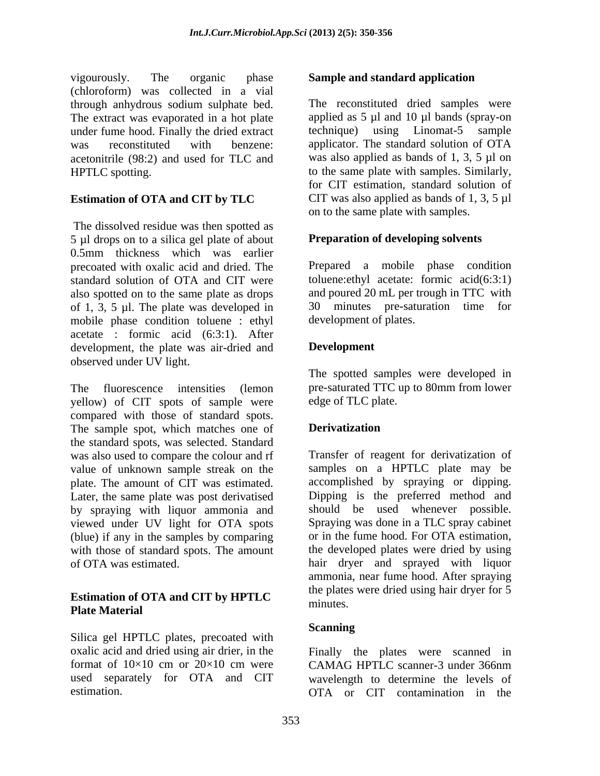vigourously. The organic phase **Sample and standard application** (chloroform) was collected in a vial through anhydrous sodium sulphate bed. The extract was evaporated in a hot plate<br>under fume hood. Finally the dried extract under fume hood. Finally the dried extract technique) using Linomat-5 sample was reconstituted with benzene: applicator. The standard solution of OTA acetonitrile (98:2) and used for TLC and HPTLC spotting. to the same plate with samples. Similarly,

## **Estimation of OTA and CIT by TLC**

The dissolved residue was then spotted as 5 µl drops on to a silica gel plate of about 0.5mm thickness which was earlier precoated with oxalic acid and dried. The Prepared a mobile phase condition standard solution of OTA and CIT were also spotted on to the same plate as drops of 1, 3, 5 µl. The plate was developed in mobile phase condition toluene : ethyl acetate : formic acid (6:3:1). After development, the plate was air-dried and **Development** observed under UV light.

The fluorescence intensities (lemon pre-saturated TTC up to 80mm from lower yellow) of CIT spots of sample were compared with those of standard spots. The sample spot, which matches one of **Derivalization** the standard spots, was selected. Standard was also used to compare the colour and rf plate. The amount of CIT was estimated. Later, the same plate was post derivatised by spraying with liquor ammonia and viewed under UV light for OTA spots (blue) if any in the samples by comparing

### **Estimation of OTA and CIT by HPTLC** minutes. **Plate Material**

Silica gel HPTLC plates, precoated with oxalic acid and dried using air drier, in the Finally the plates were scanned in format of  $10\times10$  cm or  $20\times10$  cm were CAMAG HPTLC scanner-3 under 366nm used separately for OTA and CIT wavelength to determine the levels of

The reconstituted dried samples were applied as  $5 \mu l$  and  $10 \mu l$  bands (spray-on was also applied as bands of 1, 3, 5 µl on for CIT estimation, standard solution of CIT was also applied as bands of 1, 3, 5  $\mu$ l on to the same plate with samples.

### **Preparation of developing solvents**

toluene:ethyl acetate: formic acid(6:3:1) and poured 20 mL per trough in TTC with 30 minutes pre-saturation time for development of plates.

## **Development**

The spotted samples were developed in edge of TLC plate.

## **Derivatization**

value of unknown sample streak on the samples on a HPTLC plate may be with those of standard spots. The amount the developed plates were dried by using of OTA was estimated. hair dryer and sprayed with liquor Transfer of reagent for derivatization of accomplished by spraying or dipping. Dipping is the preferred method and should be used whenever possible. Spraying was done in a TLC spray cabinet or in the fume hood. For OTA estimation, ammonia, near fume hood. After spraying the plates were dried using hair dryer for 5 minutes.

### **Scanning Scanning**

estimation. OTA or CIT contamination in theCAMAG HPTLC scanner-3 under 366nm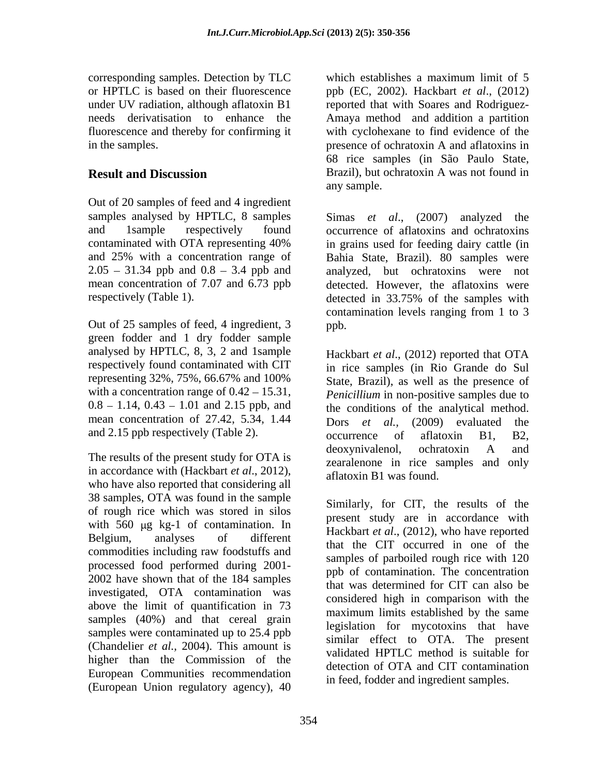corresponding samples. Detection by TLC or HPTLC is based on their fluorescence ppb (EC, 2002). Hackbart *et al*., (2012) under UV radiation, although aflatoxin B1 and reported that with Soares and Rodriguezneeds derivatisation to enhance the Amaya method and addition a partition fluorescence and thereby for confirming it with cyclohexane to find evidence of the in the samples. presence of ochratoxin A and aflatoxins in

Out of 20 samples of feed and 4 ingredient samples analysed by HPTLC, 8 samples Simas et al., (2007) analyzed the  $2.05 - 31.34$  ppb and  $0.8 - 3.4$  ppb and respectively (Table 1). detected in 33.75% of the samples with

Out of 25 samples of feed, 4 ingredient, 3 green fodder and 1 dry fodder sample analysed by HPTLC, 8, 3, 2 and 1sample respectively found contaminated with CIT representing 32%, 75%, 66.67% and 100% with a concentration range of  $0.42 - 15.31$ , mean concentration of 27.42, 5.34, 1.44 Dors et al.,  $(2009)$  evaluated the

in accordance with (Hackbart *et al*., 2012), who have also reported that considering all 38 samples, OTA was found in the sample of rough rice which was stored in silos with  $560 \text{ µg}$  kg-1 of contamination. In commodities including raw foodstuffs and processed food performed during 2001- 2002 have shown that of the 184 samples investigated, OTA contamination was above the limit of quantification in 73 samples (40%) and that cereal grain samples were contaminated up to 25.4 ppb (Chandelier *et al.,* 2004). This amount is higher than the Commission of the European Communities recommendation (European Union regulatory agency), 40

**Result and Discussion** Brazil), but ochratoxin A was not found in which establishes a maximum limit of 5 68 rice samples (in São Paulo State,

and 1sample respectively found occurrence of aflatoxins and ochratoxins contaminated with OTA representing 40% and 25% with a concentration range of Bahia State, Brazil). 80 samples were mean concentration of 7.07 and 6.73 ppb detected. However, the aflatoxins were any sample. Simas *et al*., (2007) analyzed the in grains used for feeding dairy cattle (in analyzed, but ochratoxins were not detected in 33.75% of the samples with contamination levels ranging from 1 to 3 ppb. The contract of the contract of the contract of the contract of the contract of the contract of the contract of the contract of the contract of the contract of the contract of the contract of the contract of the contr

 $0.8 - 1.14$ ,  $0.43 - 1.01$  and  $2.15$  ppb, and the conditions of the analytical method. and 2.15 ppb respectively (Table 2).  $\qquad \qquad$  occurrence of aflatoxin B1, B2, The results of the present study for OTA is<br>
The results of the present study for OTA is<br>
The results of the present study for OTA is<br>
The results of the present study for OTA is Hackbart *et al*., (2012) reported that OTA in rice samples (in Rio Grande do Sul State, Brazil), as well as the presence of *Penicillium* in non-positive samples due to Dors *et al.,* (2009) evaluated the occurrence of aflatoxin B1, B2, deoxynivalenol, ochratoxin A and zearalenone in rice samples and only aflatoxin B1 was found.

Belgium, analyses of different that the CIT occurred in one of the  $\frac{1}{2}$ Similarly, for CIT, the results of the present study are in accordance with Hackbart *et al*., (2012), who have reported samples of parboiled rough rice with 120 ppb of contamination. The concentration that was determined for CIT can also be considered high in comparison with the maximum limits established by the same legislation for mycotoxins that have similar effect to OTA. The present validated HPTLC method is suitable for detection of OTA and CIT contamination in feed, fodder and ingredient samples.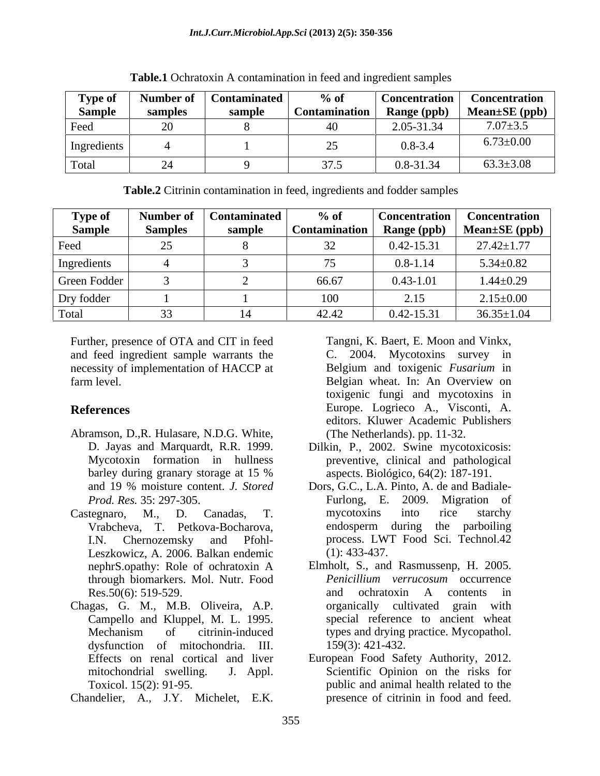| Type of       | Number of | <b>Contaminated</b> | $\%$ of              | Concentration                     | Concentration       |
|---------------|-----------|---------------------|----------------------|-----------------------------------|---------------------|
| <b>Sample</b> | samples   | sample              | <b>Contamination</b> | <b>Range (ppb)</b><br>$\sigma$ 11 | Mean $\pm$ SE (ppb) |
| Feed          | ້         |                     |                      | $2.05 - 31.34$<br>$2.03$ - $31.3$ | $7.07 \pm 3.5$      |
| Ingredients   |           |                     |                      | $0.8 - 3.4$                       | $6.73 \pm 0.00$     |
| Total         |           |                     | 275<br>ر., ر         | 0.8-31.34                         | $63.3 \pm 3.08$     |

**Table.1** Ochratoxin A contamination in feed and ingredient samples

| Table.2 Citrinin contamination in feed,<br>, ingredients and fodder samples |  |  |
|-----------------------------------------------------------------------------|--|--|
|                                                                             |  |  |

| <b>Type of</b> |          | Number of   Contaminated | $\%$ of       | Concentration <sup>1</sup> | <b>Concentration</b> |
|----------------|----------|--------------------------|---------------|----------------------------|----------------------|
| <b>Sample</b>  | Samples  | sample                   | Contamination | Range (ppb)                | $Mean \pm SE$ (ppb)  |
| Feed           | 25<br>رے |                          |               | $0.42 - 15.31$             | $27.42 \pm 1.77$     |
| Ingredients    |          |                          |               | $0.8 - 1.14$               | $5.34 \pm 0.82$      |
| Green Fodder   |          |                          | 66.67         | $0.43 - 1.01$              | $1.44 \pm 0.29$      |
| Dry fodder     |          |                          | 100           | 2.15                       | $2.15 \pm 0.00$      |
| Total          | $\cap$   |                          | 42.42         | $0.42 - 15.31$             | $36.35 \pm 1.04$     |

Further, presence of OTA and CIT in feed and feed ingredient sample warrants the necessity of implementation of HACCP at farm level. Belgian wheat. In: An Overview on

- Abramson, D.,R. Hulasare, N.D.G. White, barley during granary storage at 15 %<br>and 19 % moisture content. *J. Stored Prod. Res.* 35: 297-305.
- Castegnaro, M., D. Canadas, T. Leszkowicz, A. 2006. Balkan endemic through biomarkers. Mol. Nutr. Food Res.50(6): 519-529.
- Chagas, G. M., M.B. Oliveira, A.P. Campello and Kluppel, M. L. 1995. dysfunction of mitochondria. III.

Chandelier, A., J.Y. Michelet, E.K.

**References** Europe. Logrieco A., Visconti, A. Tangni, K. Baert, E. Moon and Vinkx, C. 2004. Mycotoxins survey in Belgium and toxigenic *Fusarium* in toxigenic fungi and mycotoxins in editors. Kluwer Academic Publishers (The Netherlands). pp. 11-32.

- D. Jayas and Marquardt, R.R. 1999. Dilkin, P., 2002. Swine mycotoxicosis: Mycotoxin formation in hullness preventive, clinical and pathological aspects. Biológico, 64(2): 187-191.
- and 19 % moisture content. *J. Stored* Dors, G.C., L.A. Pinto, A. de and Badiale- Vrabcheva, T. Petkova-Bocharova, endosperm during the parboiling I.N. Chernozemsky and Pfohl- process. LWT Food Sci. Technol.42 Furlong, E. 2009. Migration of mycotoxins into rice starchy (1): 433-437.
- nephrS.opathy: Role of ochratoxin A Elmholt, S., and Rasmussenp, H. 2005. Mechanism of citrinin-induced types and drying practice. Mycopathol. *Penicillium verrucosum* occurrence and ochratoxin A contents in organically cultivated special reference to ancient wheat 159(3): 421-432.
- Effects on renal cortical and liver European Food Safety Authority, 2012. mitochondrial swelling. J. Appl. Scientific Opinion on the risks for Toxicol. 15(2): 91-95. public and animal health related to the presence of citrinin in food and feed.